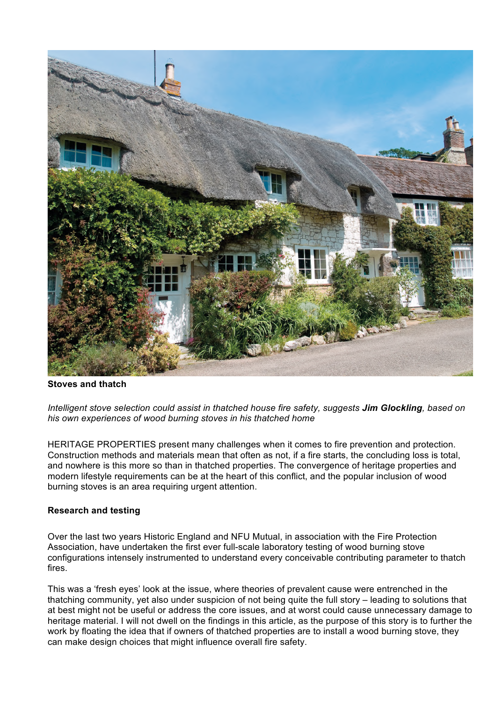

**Stoves and thatch** 

*Intelligent stove selection could assist in thatched house fire safety, suggests Jim Glockling, based on his own experiences of wood burning stoves in his thatched home*

HERITAGE PROPERTIES present many challenges when it comes to fire prevention and protection. Construction methods and materials mean that often as not, if a fire starts, the concluding loss is total, and nowhere is this more so than in thatched properties. The convergence of heritage properties and modern lifestyle requirements can be at the heart of this conflict, and the popular inclusion of wood burning stoves is an area requiring urgent attention.

# **Research and testing**

Over the last two years Historic England and NFU Mutual, in association with the Fire Protection Association, have undertaken the first ever full-scale laboratory testing of wood burning stove configurations intensely instrumented to understand every conceivable contributing parameter to thatch fires.

This was a 'fresh eyes' look at the issue, where theories of prevalent cause were entrenched in the thatching community, yet also under suspicion of not being quite the full story – leading to solutions that at best might not be useful or address the core issues, and at worst could cause unnecessary damage to heritage material. I will not dwell on the findings in this article, as the purpose of this story is to further the work by floating the idea that if owners of thatched properties are to install a wood burning stove, they can make design choices that might influence overall fire safety.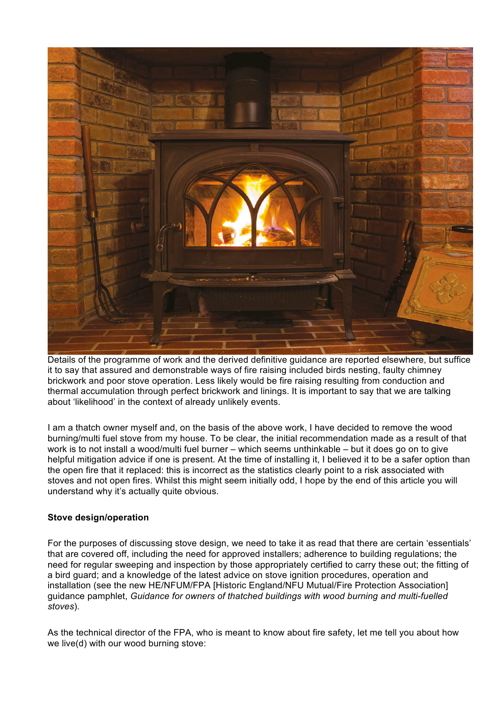

Details of the programme of work and the derived definitive guidance are reported elsewhere, but suffice it to say that assured and demonstrable ways of fire raising included birds nesting, faulty chimney brickwork and poor stove operation. Less likely would be fire raising resulting from conduction and thermal accumulation through perfect brickwork and linings. It is important to say that we are talking about 'likelihood' in the context of already unlikely events.

I am a thatch owner myself and, on the basis of the above work, I have decided to remove the wood burning/multi fuel stove from my house. To be clear, the initial recommendation made as a result of that work is to not install a wood/multi fuel burner – which seems unthinkable – but it does go on to give helpful mitigation advice if one is present. At the time of installing it, I believed it to be a safer option than the open fire that it replaced: this is incorrect as the statistics clearly point to a risk associated with stoves and not open fires. Whilst this might seem initially odd, I hope by the end of this article you will understand why it's actually quite obvious.

# **Stove design/operation**

For the purposes of discussing stove design, we need to take it as read that there are certain 'essentials' that are covered off, including the need for approved installers; adherence to building regulations; the need for regular sweeping and inspection by those appropriately certified to carry these out; the fitting of a bird guard; and a knowledge of the latest advice on stove ignition procedures, operation and installation (see the new HE/NFUM/FPA [Historic England/NFU Mutual/Fire Protection Association] guidance pamphlet, *Guidance for owners of thatched buildings with wood burning and multi-fuelled stoves*).

As the technical director of the FPA, who is meant to know about fire safety, let me tell you about how we live(d) with our wood burning stove: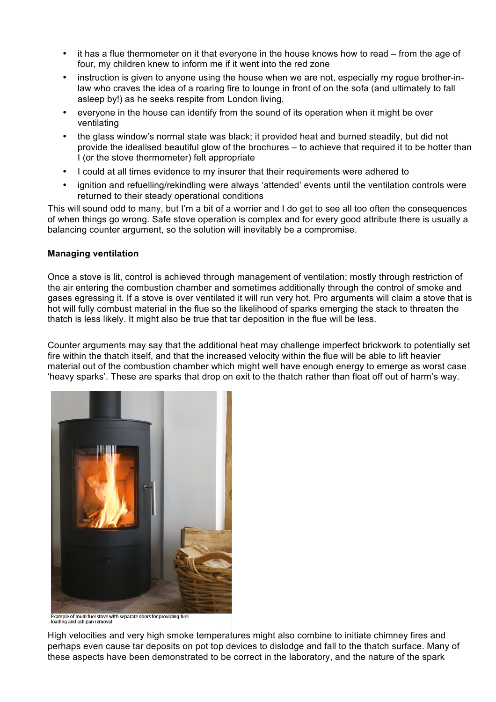- it has a flue thermometer on it that everyone in the house knows how to read from the age of four, my children knew to inform me if it went into the red zone
- instruction is given to anyone using the house when we are not, especially my rogue brother-inlaw who craves the idea of a roaring fire to lounge in front of on the sofa (and ultimately to fall asleep by!) as he seeks respite from London living.
- everyone in the house can identify from the sound of its operation when it might be over ventilating
- the glass window's normal state was black; it provided heat and burned steadily, but did not provide the idealised beautiful glow of the brochures – to achieve that required it to be hotter than I (or the stove thermometer) felt appropriate
- I could at all times evidence to my insurer that their requirements were adhered to
- ignition and refuelling/rekindling were always 'attended' events until the ventilation controls were returned to their steady operational conditions

This will sound odd to many, but I'm a bit of a worrier and I do get to see all too often the consequences of when things go wrong. Safe stove operation is complex and for every good attribute there is usually a balancing counter argument, so the solution will inevitably be a compromise.

### **Managing ventilation**

Once a stove is lit, control is achieved through management of ventilation; mostly through restriction of the air entering the combustion chamber and sometimes additionally through the control of smoke and gases egressing it. If a stove is over ventilated it will run very hot. Pro arguments will claim a stove that is hot will fully combust material in the flue so the likelihood of sparks emerging the stack to threaten the thatch is less likely. It might also be true that tar deposition in the flue will be less.

Counter arguments may say that the additional heat may challenge imperfect brickwork to potentially set fire within the thatch itself, and that the increased velocity within the flue will be able to lift heavier material out of the combustion chamber which might well have enough energy to emerge as worst case 'heavy sparks'. These are sparks that drop on exit to the thatch rather than float off out of harm's way.



-<br>Example of multi fuel stove with separate doors for providing fuel<br>loading and ash pan removal

High velocities and very high smoke temperatures might also combine to initiate chimney fires and perhaps even cause tar deposits on pot top devices to dislodge and fall to the thatch surface. Many of these aspects have been demonstrated to be correct in the laboratory, and the nature of the spark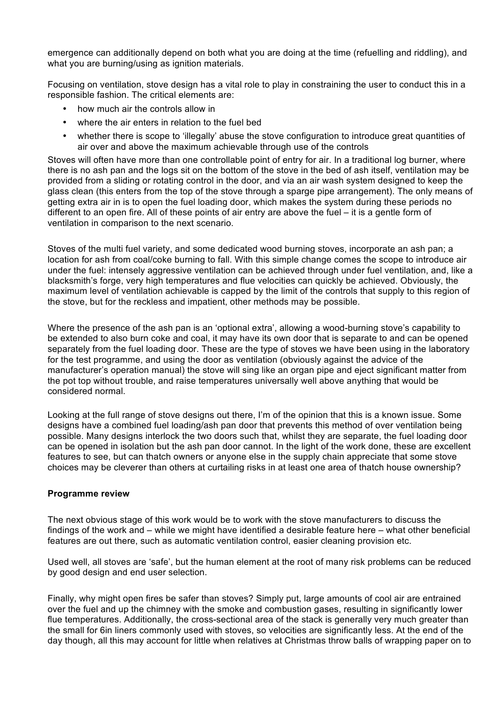emergence can additionally depend on both what you are doing at the time (refuelling and riddling), and what you are burning/using as ignition materials.

Focusing on ventilation, stove design has a vital role to play in constraining the user to conduct this in a responsible fashion. The critical elements are:

- how much air the controls allow in
- where the air enters in relation to the fuel bed
- whether there is scope to 'illegally' abuse the stove configuration to introduce great quantities of air over and above the maximum achievable through use of the controls

Stoves will often have more than one controllable point of entry for air. In a traditional log burner, where there is no ash pan and the logs sit on the bottom of the stove in the bed of ash itself, ventilation may be provided from a sliding or rotating control in the door, and via an air wash system designed to keep the glass clean (this enters from the top of the stove through a sparge pipe arrangement). The only means of getting extra air in is to open the fuel loading door, which makes the system during these periods no different to an open fire. All of these points of air entry are above the fuel – it is a gentle form of ventilation in comparison to the next scenario.

Stoves of the multi fuel variety, and some dedicated wood burning stoves, incorporate an ash pan; a location for ash from coal/coke burning to fall. With this simple change comes the scope to introduce air under the fuel: intensely aggressive ventilation can be achieved through under fuel ventilation, and, like a blacksmith's forge, very high temperatures and flue velocities can quickly be achieved. Obviously, the maximum level of ventilation achievable is capped by the limit of the controls that supply to this region of the stove, but for the reckless and impatient, other methods may be possible.

Where the presence of the ash pan is an 'optional extra', allowing a wood-burning stove's capability to be extended to also burn coke and coal, it may have its own door that is separate to and can be opened separately from the fuel loading door. These are the type of stoves we have been using in the laboratory for the test programme, and using the door as ventilation (obviously against the advice of the manufacturer's operation manual) the stove will sing like an organ pipe and eject significant matter from the pot top without trouble, and raise temperatures universally well above anything that would be considered normal.

Looking at the full range of stove designs out there, I'm of the opinion that this is a known issue. Some designs have a combined fuel loading/ash pan door that prevents this method of over ventilation being possible. Many designs interlock the two doors such that, whilst they are separate, the fuel loading door can be opened in isolation but the ash pan door cannot. In the light of the work done, these are excellent features to see, but can thatch owners or anyone else in the supply chain appreciate that some stove choices may be cleverer than others at curtailing risks in at least one area of thatch house ownership?

# **Programme review**

The next obvious stage of this work would be to work with the stove manufacturers to discuss the findings of the work and – while we might have identified a desirable feature here – what other beneficial features are out there, such as automatic ventilation control, easier cleaning provision etc.

Used well, all stoves are 'safe', but the human element at the root of many risk problems can be reduced by good design and end user selection.

Finally, why might open fires be safer than stoves? Simply put, large amounts of cool air are entrained over the fuel and up the chimney with the smoke and combustion gases, resulting in significantly lower flue temperatures. Additionally, the cross-sectional area of the stack is generally very much greater than the small for 6in liners commonly used with stoves, so velocities are significantly less. At the end of the day though, all this may account for little when relatives at Christmas throw balls of wrapping paper on to